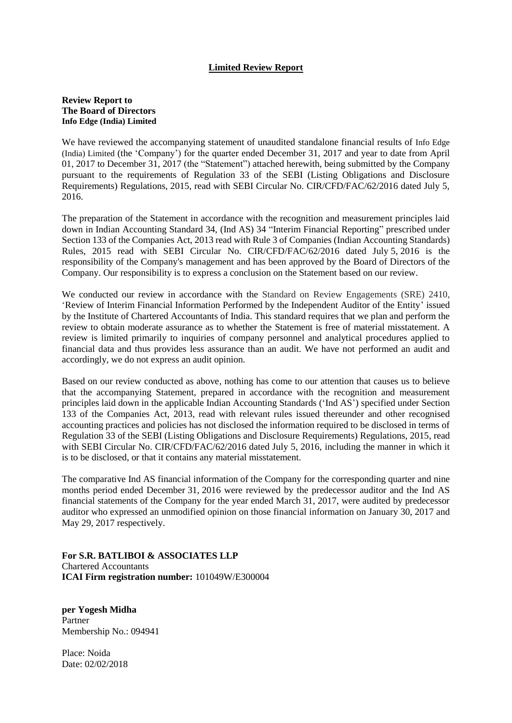## **Limited Review Report**

## **Review Report to The Board of Directors Info Edge (India) Limited**

We have reviewed the accompanying statement of unaudited standalone financial results of Info Edge (India) Limited (the 'Company') for the quarter ended December 31, 2017 and year to date from April 01, 2017 to December 31, 2017 (the "Statement") attached herewith, being submitted by the Company pursuant to the requirements of Regulation 33 of the SEBI (Listing Obligations and Disclosure Requirements) Regulations, 2015, read with SEBI Circular No. CIR/CFD/FAC/62/2016 dated July 5, 2016.

The preparation of the Statement in accordance with the recognition and measurement principles laid down in Indian Accounting Standard 34, (Ind AS) 34 "Interim Financial Reporting" prescribed under Section 133 of the Companies Act, 2013 read with Rule 3 of Companies (Indian Accounting Standards) Rules, 2015 read with SEBI Circular No. CIR/CFD/FAC/62/2016 dated July 5, 2016 is the responsibility of the Company's management and has been approved by the Board of Directors of the Company. Our responsibility is to express a conclusion on the Statement based on our review.

We conducted our review in accordance with the Standard on Review Engagements (SRE) 2410, 'Review of Interim Financial Information Performed by the Independent Auditor of the Entity' issued by the Institute of Chartered Accountants of India. This standard requires that we plan and perform the review to obtain moderate assurance as to whether the Statement is free of material misstatement. A review is limited primarily to inquiries of company personnel and analytical procedures applied to financial data and thus provides less assurance than an audit. We have not performed an audit and accordingly, we do not express an audit opinion.

Based on our review conducted as above, nothing has come to our attention that causes us to believe that the accompanying Statement, prepared in accordance with the recognition and measurement principles laid down in the applicable Indian Accounting Standards ('Ind AS') specified under Section 133 of the Companies Act, 2013, read with relevant rules issued thereunder and other recognised accounting practices and policies has not disclosed the information required to be disclosed in terms of Regulation 33 of the SEBI (Listing Obligations and Disclosure Requirements) Regulations, 2015, read with SEBI Circular No. CIR/CFD/FAC/62/2016 dated July 5, 2016, including the manner in which it is to be disclosed, or that it contains any material misstatement.

The comparative Ind AS financial information of the Company for the corresponding quarter and nine months period ended December 31, 2016 were reviewed by the predecessor auditor and the Ind AS financial statements of the Company for the year ended March 31, 2017, were audited by predecessor auditor who expressed an unmodified opinion on those financial information on January 30, 2017 and May 29, 2017 respectively.

**For S.R. BATLIBOI & ASSOCIATES LLP**  Chartered Accountants **ICAI Firm registration number:** 101049W/E300004

**per Yogesh Midha** Partner Membership No.: 094941

Place: Noida Date: 02/02/2018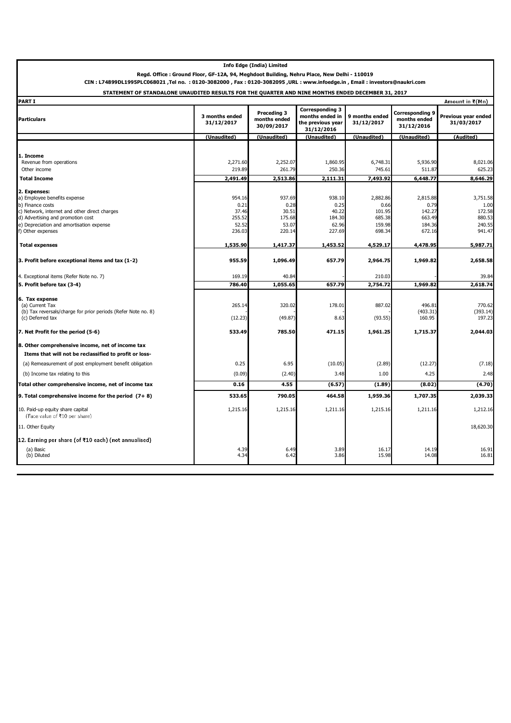| <b>Info Edge (India) Limited</b>                                                                                                                                                                                              |                                                      |                                                      |                                                                              |                                                          |                                                          |                                                          |
|-------------------------------------------------------------------------------------------------------------------------------------------------------------------------------------------------------------------------------|------------------------------------------------------|------------------------------------------------------|------------------------------------------------------------------------------|----------------------------------------------------------|----------------------------------------------------------|----------------------------------------------------------|
| Regd. Office : Ground Floor, GF-12A, 94, Meghdoot Building, Nehru Place, New Delhi - 110019                                                                                                                                   |                                                      |                                                      |                                                                              |                                                          |                                                          |                                                          |
| CIN: L74899DL1995PLC068021, Tel no. : 0120-3082000, Fax: 0120-3082095, URL: www.infoedge.in, Email: investors@naukri.com<br>STATEMENT OF STANDALONE UNAUDITED RESULTS FOR THE QUARTER AND NINE MONTHS ENDED DECEMBER 31, 2017 |                                                      |                                                      |                                                                              |                                                          |                                                          |                                                          |
| <b>PART I</b>                                                                                                                                                                                                                 |                                                      |                                                      |                                                                              |                                                          |                                                          | Amount in ₹(Mn)                                          |
| <b>Particulars</b>                                                                                                                                                                                                            | 3 months ended<br>31/12/2017                         | Preceding 3<br>months ended<br>30/09/2017            | <b>Corresponding 3</b><br>months ended in<br>the previous year<br>31/12/2016 | 9 months ended<br>31/12/2017                             | Corresponding 9<br>months ended<br>31/12/2016            | Previous year ended<br>31/03/2017                        |
|                                                                                                                                                                                                                               | (Unaudited)                                          | (Unaudited)                                          | (Unaudited)                                                                  | (Unaudited)                                              | (Unaudited)                                              | (Audited)                                                |
| 1. Income<br>Revenue from operations                                                                                                                                                                                          | 2,271.60                                             | 2,252.07                                             | 1,860.95                                                                     | 6,748.31                                                 | 5,936.90                                                 | 8,021.06                                                 |
| Other income                                                                                                                                                                                                                  | 219.89                                               | 261.79                                               | 250.36                                                                       | 745.61                                                   | 511.87                                                   | 625.23                                                   |
| <b>Total Income</b>                                                                                                                                                                                                           | 2,491.49                                             | 2,513.86                                             | 2,111.31                                                                     | 7,493.92                                                 | 6,448.77                                                 | 8,646.29                                                 |
| 2. Expenses:<br>a) Employee benefits expense<br>b) Finance costs<br>c) Network, internet and other direct charges<br>d) Advertising and promotion cost<br>e) Depreciation and amortisation expense<br>f) Other expenses       | 954.16<br>0.21<br>37.46<br>255.52<br>52.52<br>236.03 | 937.69<br>0.28<br>30.51<br>175.68<br>53.07<br>220.14 | 938.10<br>0.25<br>40.22<br>184.30<br>62.96<br>227.69                         | 2,882.86<br>0.66<br>101.95<br>685.38<br>159.98<br>698.34 | 2,815.88<br>0.79<br>142.27<br>663.49<br>184.36<br>672.16 | 3,751.58<br>1.00<br>172.58<br>880.53<br>240.55<br>941.47 |
| <b>Total expenses</b>                                                                                                                                                                                                         | 1,535.90                                             | 1,417.37                                             | 1,453.52                                                                     | 4,529.17                                                 | 4,478.95                                                 | 5,987.71                                                 |
| 3. Profit before exceptional items and tax (1-2)                                                                                                                                                                              | 955.59                                               | 1,096.49                                             | 657.79                                                                       | 2,964.75                                                 | 1,969.82                                                 | 2,658.58                                                 |
| 4. Exceptional items (Refer Note no. 7)                                                                                                                                                                                       | 169.19                                               | 40.84                                                |                                                                              | 210.03                                                   |                                                          | 39.84                                                    |
| 5. Profit before tax (3-4)                                                                                                                                                                                                    | 786.40                                               | 1,055.65                                             | 657.79                                                                       | 2,754.72                                                 | 1,969.82                                                 | 2,618.74                                                 |
| 6. Tax expense<br>(a) Current Tax<br>(b) Tax reversals/charge for prior periods (Refer Note no. 8)<br>(c) Deferred tax                                                                                                        | 265.14<br>(12.23)                                    | 320.02<br>(49.87)                                    | 178.01<br>8.63                                                               | 887.02<br>(93.55)                                        | 496.81<br>(403.31)<br>160.95                             | 770.62<br>(393.14)<br>197.23                             |
| 7. Net Profit for the period (5-6)                                                                                                                                                                                            | 533.49                                               | 785.50                                               | 471.15                                                                       | 1,961.25                                                 | 1,715.37                                                 | 2,044.03                                                 |
| 8. Other comprehensive income, net of income tax<br>Items that will not be reclassified to profit or loss-                                                                                                                    |                                                      |                                                      |                                                                              |                                                          |                                                          |                                                          |
| (a) Remeasurement of post employment benefit obligation                                                                                                                                                                       | 0.25                                                 | 6.95                                                 | (10.05)                                                                      | (2.89)                                                   | (12.27)                                                  | (7.18)                                                   |
| (b) Income tax relating to this                                                                                                                                                                                               | (0.09)                                               | (2.40)                                               | 3.48                                                                         | 1.00                                                     | 4.25                                                     | 2.48                                                     |
| Total other comprehensive income, net of income tax                                                                                                                                                                           | 0.16                                                 | 4.55                                                 | (6.57)                                                                       | (1.89)                                                   | (8.02)                                                   | (4.70)                                                   |
| 9. Total comprehensive income for the period $(7+8)$                                                                                                                                                                          | 533.65                                               | 790.05                                               | 464.58                                                                       | 1,959.36                                                 | 1,707.35                                                 | 2,039.33                                                 |
| 10. Paid-up equity share capital<br>(Face value of ₹10 per share)                                                                                                                                                             | 1,215.16                                             | 1,215.16                                             | 1,211.16                                                                     | 1,215.16                                                 | 1,211.16                                                 | 1,212.16                                                 |
| 11. Other Equity                                                                                                                                                                                                              |                                                      |                                                      |                                                                              |                                                          |                                                          | 18,620.30                                                |
| 12. Earning per share (of ₹10 each) (not annualised)<br>(a) Basic<br>(b) Diluted                                                                                                                                              | 4.39<br>4.34                                         | 6.49<br>6.42                                         | 3.89<br>3.86                                                                 | 16.17<br>15.98                                           | 14.19<br>14.08                                           | 16.91<br>16.81                                           |